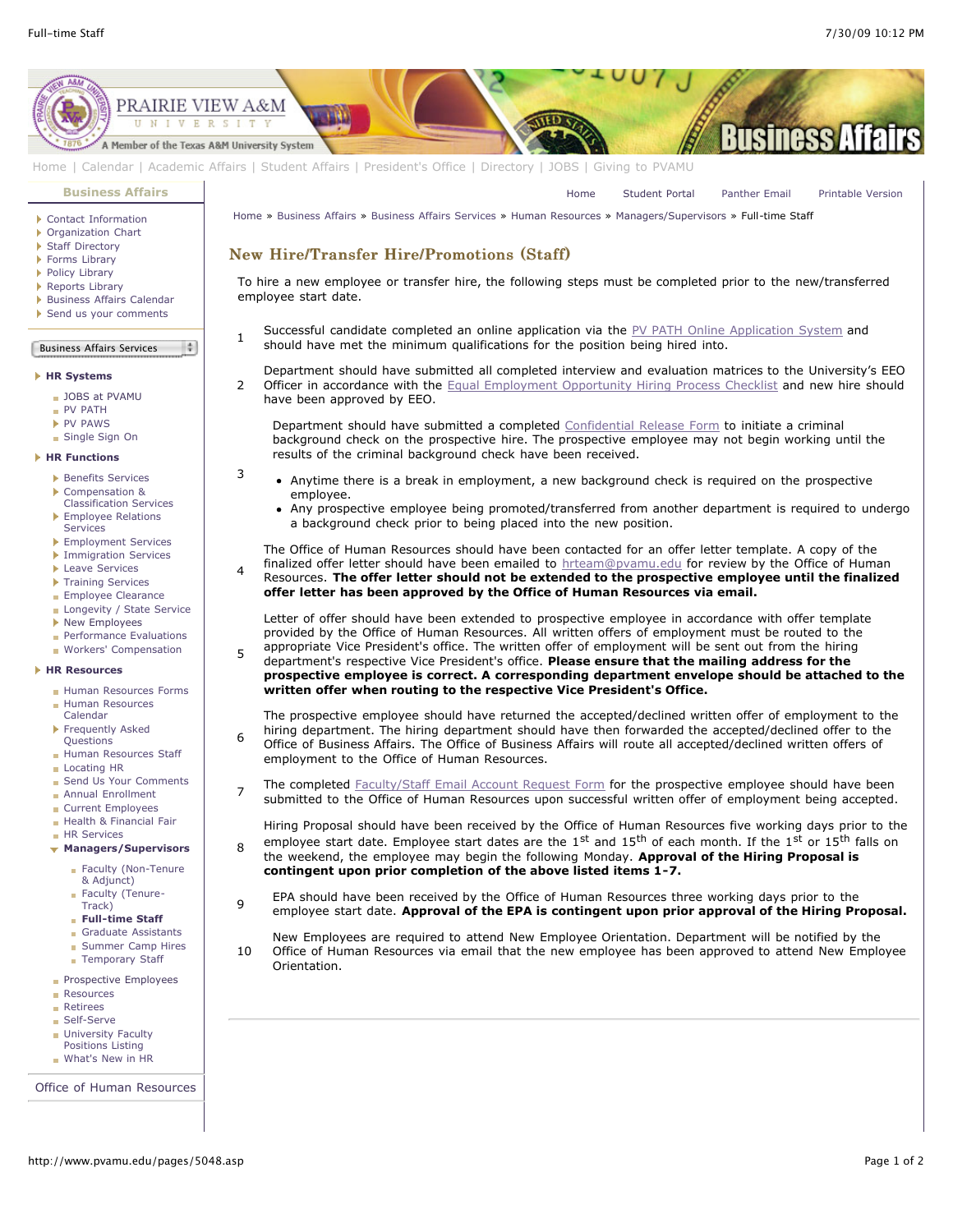[Home](http://www.pvamu.edu/pages/1.asp) [Student Portal](http://panthertracks.pvamu.edu/) [Panther Email](http://www.pvamu.edu/pages/1740.asp) [Printable Version](http://www.pvamu.edu/print/5048.asp)



[Home](http://www.pvamu.edu/pages/1.asp) | [Calendar](http://www.pvamu.edu/pages/222.asp) | [Academic Affairs](http://www.pvamu.edu/pages/116.asp) | [Student Affairs](http://www.pvamu.edu/pages/1441.asp) | [President's Office](http://www.pvamu.edu/pages/117.asp) | [Directory](http://www.pvamu.edu/pages/225.asp) | [JOBS](http://www.pvamu.edu/pages/118.asp) | [Giving to PVAMU](http://www.pvamu.edu/giving)

**[Business Affairs](http://www.pvamu.edu/pages/102.asp)**

- ▶ [Contact Information](http://www.pvamu.edu/pages/527.asp)
- [Organization Chart](http://www.pvamu.edu/pages/528.asp)
- [Staff Directory](http://www.pvamu.edu/pages/529.asp) [Forms Library](http://www.pvamu.edu/pages/531.asp)
- [Policy Library](http://www.pvamu.edu/pages/532.asp)
- ▶ [Reports Library](http://www.pvamu.edu/pages/533.asp)
- **[Business Affairs Calendar](http://www.pvamu.edu/pages/534.asp)**
- [Send us your comments](http://www.pvamu.edu/pages/535.asp)

## Business Affairs Services

 $\overline{2}$ 

 $\frac{1}{2}$ 

3

4

5

6

 $\mathbf{a}$ 

#### **[HR Systems](http://www.pvamu.edu/pages/555.asp)**

- [JOBS at PVAMU](http://www.pvamu.edu/pages/118.asp)
- [PV PATH](http://www.pvamu.edu/pages/1996.asp)
- **[PV PAWS](http://www.pvamu.edu/pages/1997.asp)**
- [Single Sign On](http://www.pvamu.edu/pages/684.asp)

### **[HR Functions](http://www.pvamu.edu/pages/555.asp)**

- **[Benefits Services](http://www.pvamu.edu/pages/685.asp)**
- Compensation & [Classification Services](http://www.pvamu.edu/pages/689.asp)
- ▶ [Employee Relations](http://www.pvamu.edu/pages/690.asp) **Services**
- **[Employment Services](http://www.pvamu.edu/pages/676.asp)**
- **[Immigration Services](http://www.pvamu.edu/pages/694.asp)**
- ▶ [Leave Services](http://www.pvamu.edu/pages/687.asp)
- **[Training Services](http://www.pvamu.edu/pages/693.asp)**
- **[Employee Clearance](http://www.pvamu.edu/pages/3032.asp)**
- **[Longevity / State Service](http://www.pvamu.edu/pages/3578.asp)**
- ▶ [New Employees](http://www.pvamu.edu/pages/1998.asp)
- **[Performance Evaluations](http://www.pvamu.edu/pages/3943.asp)**
- **[Workers' Compensation](http://www.pvamu.edu/pages/2016.asp)**

#### **[HR Resources](http://www.pvamu.edu/pages/555.asp)**

- [Human Resources Forms](http://www.pvamu.edu/pages/696.asp)
- [Human Resources](http://www.pvamu.edu/pages/2000.asp) Calendar
- **[Frequently Asked](http://www.pvamu.edu/pages/680.asp)** Questions
- **[Human Resources Staff](http://www.pvamu.edu/pages/675.asp)**
- [Locating HR](http://www.pvamu.edu/pages/681.asp)
- [Send Us Your Comments](http://www.pvamu.edu/pages/1829.asp)
- **[Annual Enrollment](http://www.pvamu.edu/pages/5696.asp)**
- [Current Employees](http://www.pvamu.edu/pages/4707.asp)
- [Health & Financial Fair](http://www.pvamu.edu/pages/5122.asp) **[HR Services](http://www.pvamu.edu/pages/5322.asp)**
- **[Managers/Supervisors](http://www.pvamu.edu/pages/3942.asp)**
	- **[Faculty \(Non-Tenure](http://www.pvamu.edu/pages/5051.asp)** & Adjunct) **[Faculty \(Tenure-](http://www.pvamu.edu/pages/5049.asp)**
	- Track) **[Full-time Staff](http://www.pvamu.edu/pages/5048.asp)**
	- [Graduate Assistants](http://www.pvamu.edu/pages/5052.asp)
	- **[Summer Camp Hires](http://www.pvamu.edu/pages/5588.asp)**
	- [Temporary Staff](http://www.pvamu.edu/pages/5050.asp)
	-
- **[Prospective Employees](http://www.pvamu.edu/pages/4724.asp)**
- **[Resources](http://www.pvamu.edu/pages/5324.asp)**
- **[Retirees](http://www.pvamu.edu/pages/4735.asp)**
- [Self-Serve](http://www.pvamu.edu/pages/5323.asp)
- **[University Faculty](http://www.pvamu.edu/pages/3397.asp)**
- Positions Listing
- [What's New in HR](http://www.pvamu.edu/pages/5201.asp)

[Office of Human Resources](http://www.pvamu.edu/pages/555.asp)

[Home](http://www.pvamu.edu/pages/1.asp) » [Business Affairs](http://www.pvamu.edu/pages/102.asp) » [Business Affairs Services](http://www.pvamu.edu/pages/530.asp) » [Human Resources](http://www.pvamu.edu/pages/555.asp) » [Managers/Supervisors](http://www.pvamu.edu/pages/3942.asp) » Full-time Staff

# New Hire/Transfer Hire/Promotions (Staff)

To hire a new employee or transfer hire, the following steps must be completed prior to the new/transferred employee start date.

5 Successful candidate completed an online application via the [PV PATH Online Application System](https://jobs.pvamu.edu/) and should have met the minimum qualifications for the position being hired into.

Department should have submitted all completed interview and evaluation matrices to the University's EEO Officer in accordance with the [Equal Employment Opportunity Hiring Process Checklist](http://www.pvamu.edu/pages/1488.asp) and new hire should have been approved by EEO.

Department should have submitted a completed [Confidential Release Form](http://www.pvamu.edu/files/human_resources/docs/Background%20Check.pdf) to initiate a criminal background check on the prospective hire. The prospective employee may not begin working until the results of the criminal background check have been received.

- Anytime there is a break in employment, a new background check is required on the prospective employee.
	- Any prospective employee being promoted/transferred from another department is required to undergo a background check prior to being placed into the new position.

The Office of Human Resources should have been contacted for an offer letter template. A copy of the finalized offer letter should have been emailed to [hrteam@pvamu.edu](mailto:hrteam@pvamu.edu?subject=Offer%20Letters) for review by the Office of Human Resources. **The offer letter should not be extended to the prospective employee until the finalized offer letter has been approved by the Office of Human Resources via email.**

Letter of offer should have been extended to prospective employee in accordance with offer template provided by the Office of Human Resources. All written offers of employment must be routed to the

appropriate Vice President's office. The written offer of employment will be sent out from the hiring department's respective Vice President's office. **Please ensure that the mailing address for the prospective employee is correct. A corresponding department envelope should be attached to the written offer when routing to the respective Vice President's Office.**

The prospective employee should have returned the accepted/declined written offer of employment to the hiring department. The hiring department should have then forwarded the accepted/declined offer to the Office of Business Affairs. The Office of Business Affairs will route all accepted/declined written offers of employment to the Office of Human Resources.

7 The completed **Faculty/Staff Email Account Request Form** for the prospective employee should have been submitted to the Office of Human Resources upon successful written offer of employment being accepted.

Hiring Proposal should have been received by the Office of Human Resources five working days prior to the employee start date. Employee start dates are the  $1^{st}$  and  $15^{th}$  of each month. If the  $1^{st}$  or  $15^{th}$  falls on the weekend, the employee may begin the following Monday. **Approval of the Hiring Proposal is contingent upon prior completion of the above listed items 1-7.**

<sup>9</sup> EPA should have been received by the Office of Human Resources three working days prior to the employee start date. **Approval of the EPA is contingent upon prior approval of the Hiring Proposal.**

10 New Employees are required to attend New Employee Orientation. Department will be notified by the Office of Human Resources via email that the new employee has been approved to attend New Employee Orientation.